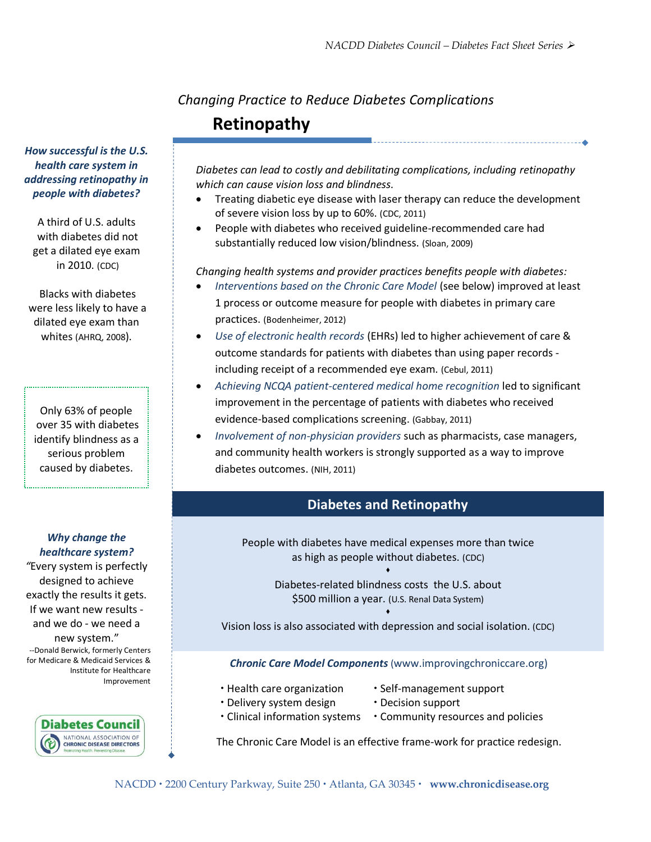# *Changing Practice to Reduce Diabetes Complications* **Retinopathy**

*How successful is the U.S. health care system in addressing retinopathy in people with diabetes?*

A third of U.S. adults with diabetes did not get a dilated eye exam in 2010. (CDC)

were less likely to have a whites (AHRQ, 2008). Blacks with diabetes dilated eye exam than

Only 63% of people over 35 with diabetes identify blindness as a serious problem caused by diabetes.

## *Why change the healthcare system?*

*"*Every system is perfectly designed to achieve exactly the results it gets. If we want new results and we do - we need a new system." --Donald Berwick, formerly Centers for Medicare & Medicaid Services & Institute for Healthcare Improvement



*Diabetes can lead to costly and debilitating complications, including retinopathy which can cause vision loss and blindness.*

- Treating diabetic eye disease with laser therapy can reduce the development of severe vision loss by up to 60%. (CDC, 2011)
- People with diabetes who received guideline-recommended care had substantially reduced low vision/blindness. (Sloan, 2009)

*Changing health systems and provider practices benefits people with diabetes:*

- *Interventions based on the Chronic Care Model* (see below) improved at least 1 process or outcome measure for people with diabetes in primary care practices. (Bodenheimer, 2012)
- *Use of electronic health records* (EHRs) led to higher achievement of care & outcome standards for patients with diabetes than using paper records including receipt of a recommended eye exam. (Cebul, 2011)
- *Achieving NCQA patient-centered medical home recognition* led to significant improvement in the percentage of patients with diabetes who received evidence-based complications screening. (Gabbay, 2011)
- *Involvement of non-physician providers* such as pharmacists, case managers, and community health workers is strongly supported as a way to improve diabetes outcomes. (NIH, 2011)

## **Diabetes and Retinopathy**

People with diabetes have medical expenses more than twice as high as people without diabetes. (CDC)  $\bullet$ 

> Diabetes-related blindness costs the U.S. about \$500 million a year. (U.S. Renal Data System)

 $\bullet$ Vision loss is also associated with depression and social isolation. (CDC)

*Chronic Care Model Components* (www.improvingchroniccare.org)

- 
- Health care organization Self-management support
- Delivery system design Decision support
- 
- Clinical information systems Community resources and policies

The Chronic Care Model is an effective frame-work for practice redesign.